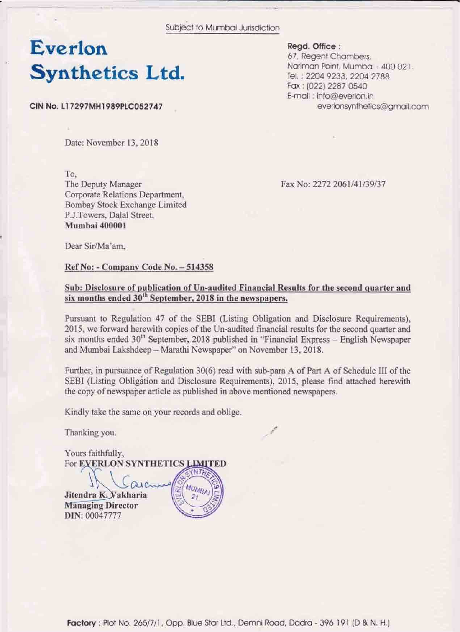Subject to Mumbai Jurisdiction

# Everlon **Synthetics Ltd.**

CIN No. L17297MH1989PLC052747

Read, Office: 67, Regent Chambers, Nariman Point, Mumbai - 400 021. Tel. : 2204 9233, 2204 2788 Fax: (022) 2287 0540 E-mail: info@everlon.in everlonsynthetics@gmail.com

Date: November 13, 2018

To. The Deputy Manager Corporate Relations Department, Bombay Stock Exchange Limited P.J.Towers, Dalal Street. Mumbai 400001

Fax No: 2272 2061/41/39/37

Dear Sir/Ma'am.

#### Ref No: - Company Code No. - 514358

### Sub: Disclosure of publication of Un-audited Financial Results for the second quarter and six months ended 30<sup>th</sup> September, 2018 in the newspapers.

Pursuant to Regulation 47 of the SEBI (Listing Obligation and Disclosure Requirements), 2015, we forward herewith copies of the Un-audited financial results for the second quarter and six months ended 30<sup>th</sup> September, 2018 published in "Financial Express - English Newspaper and Mumbai Lakshdeep - Marathi Newspaper" on November 13, 2018.

Further, in pursuance of Regulation 30(6) read with sub-para A of Part A of Schedule III of the SEBI (Listing Obligation and Disclosure Requirements), 2015, please find attached herewith the copy of newspaper article as published in above mentioned newspapers.

Kindly take the same on your records and oblige.

Thanking you.

Yours faithfully, For EXERLON SYNTHETICS LIMITED

**MUMBAI** 

Jitendra K. Vakharia **Managing Director** DIN: 00047777